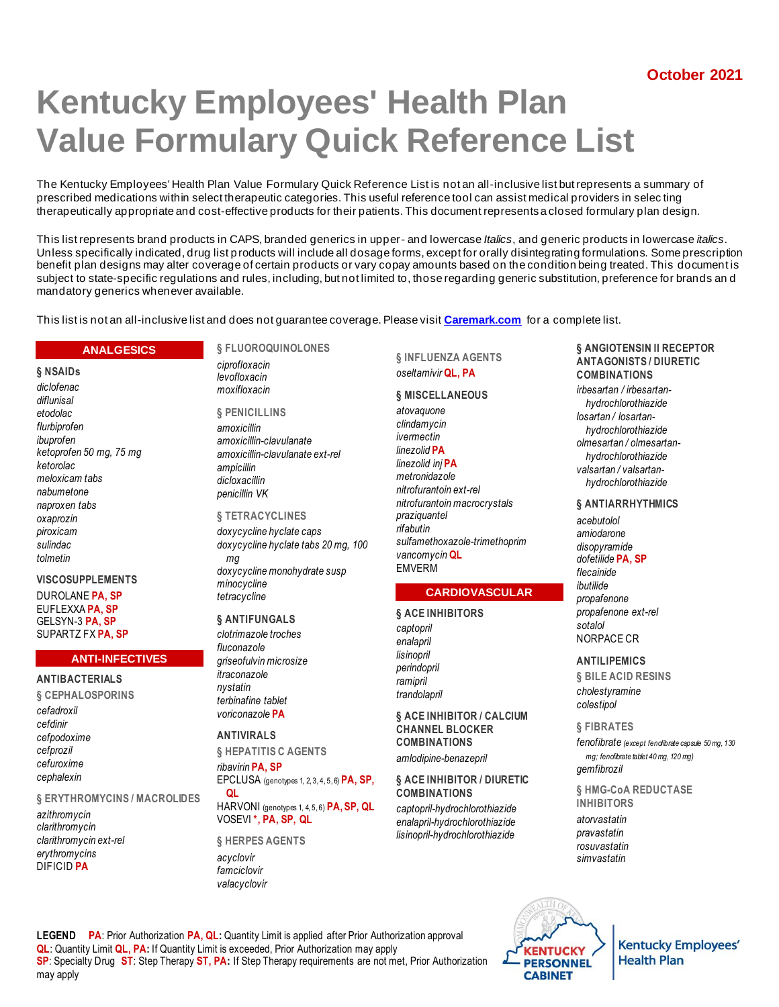# **Kentucky Employees' Health Plan Value Formulary Quick Reference List**

The Kentucky Employees' Health Plan Value Formulary Quick Reference List is not an all-inclusive list but represents a summary of prescribed medications within select therapeutic categories. This useful reference tool can assist medical providers in selec ting therapeutically appropriate and cost-effective products for their patients. This document represents a closed formulary plan design.

This list represents brand products in CAPS, branded generics in upper- and lowercase *Italics*, and generic products in lowercase *italics*. Unless specifically indicated, drug list products will include all dosage forms, except for orally disintegrating formulations. Some prescription benefit plan designs may alter coverage of certain products or vary copay amounts based on the condition being treated. This document is subject to state-specific regulations and rules, including, but not limited to, those regarding generic substitution, preference for brands an d mandatory generics whenever available.

This list is not an all-inclusive list and does not guarantee coverage. Please visit **[Caremark.com](https://www.caremark.com/)** for a complete list.

#### **ANALGESICS**

**§ NSAIDs** *diclofenac diflunisal etodolac flurbiprofen ibuprofen ketoprofen 50 mg, 75 mg ketorolac meloxicam tabs nabumetone naproxen tabs oxaprozin piroxicam sulindac tolmetin*

#### **VISCOSUPPLEMENTS**

DUROLANE **PA, SP** EUFLEXXA **PA, SP** GELSYN-3 **PA, SP** SUPARTZ FX **PA, SP**

#### **ANTIBACTERIALS**

**§ CEPHALOSPORINS** *cefadroxil cefdinir cefpodoxime cefprozil cefuroxime cephalexin*

**§ ERYTHROMYCINS / MACROLIDES**

*azithromycin clarithromycin clarithromycin ext-rel erythromycins* DIFICID **PA**

### **§ FLUOROQUINOLONES**

*ciprofloxacin levofloxacin moxifloxacin*

**§ PENICILLINS** *amoxicillin amoxicillin-clavulanate amoxicillin-clavulanate ext-rel ampicillin dicloxacillin penicillin VK*

### **§ TETRACYCLINES**

*doxycycline hyclate caps doxycycline hyclate tabs 20 mg, 100 mg doxycycline monohydrate susp minocycline tetracycline*

#### **§ ANTIFUNGALS**

*clotrimazole troches fluconazole griseofulvin microsize itraconazole nystatin terbinafine tablet voriconazole* **PA**

### **ANTIVIRALS**

**§ HEPATITIS C AGENTS** *ribavirin* **PA, SP** EPCLUSA (genotypes 1, 2, 3, 4, 5, 6) **PA, SP, QL**

HARVONI (genotypes 1, 4, 5, 6) **PA, SP, QL** VOSEVI **\*, PA, SP, QL**

**§ HERPES AGENTS** *acyclovir famciclovir valacyclovir*

#### **§ INFLUENZA AGENTS** *oseltamivir* **QL, PA**

#### **§ MISCELLANEOUS**

*atovaquone clindamycin ivermectin linezolid* **PA** *linezolid inj* **PA** *metronidazole nitrofurantoin ext-rel nitrofurantoin macrocrystals praziquantel rifabutin sulfamethoxazole-trimethoprim vancomycin* **QL EMVERM** 

#### **CARDIOVASCULAR**

**§ ACE INHIBITORS** *captopril enalapril lisinopril perindopril ramipril trandolapril*

#### **§ ACE INHIBITOR / CALCIUM CHANNEL BLOCKER COMBINATIONS**

*amlodipine-benazepril*

#### **§ ACE INHIBITOR / DIURETIC COMBINATIONS**

*captopril-hydrochlorothiazide enalapril-hydrochlorothiazide lisinopril-hydrochlorothiazide*

#### **§ ANGIOTENSIN II RECEPTOR ANTAGONISTS / DIURETIC COMBINATIONS**

*irbesartan / irbesartanhydrochlorothiazide losartan / losartanhydrochlorothiazide olmesartan / olmesartanhydrochlorothiazide valsartan / valsartanhydrochlorothiazide*

#### **§ ANTIARRHYTHMICS**

*acebutolol amiodarone disopyramide dofetilide* **PA, SP** *flecainide ibutilide propafenone propafenone ext-rel sotalol* NORPACE CR

#### **ANTILIPEMICS**

**§ BILE ACID RESINS** *cholestyramine colestipol*

#### **§ FIBRATES**

*fenofibrate (except fenofibrate capsule 50 mg, 130 mg; fenofibrate tablet 40 mg, 120 mg) gemfibrozil*

#### **§ HMG-CoA REDUCTASE INHIBITORS**

*atorvastatin pravastatin rosuvastatin simvastatin*



**Kentucky Employees' Health Plan** 

**LEGEND PA**: Prior Authorization **PA, QL:** Quantity Limit is applied after Prior Authorization approval **QL**: Quantity Limit **QL, PA:** If Quantity Limit is exceeded, Prior Authorization may apply **SP**: Specialty Drug **ST**: Step Therapy **ST, PA:** If Step Therapy requirements are not met, Prior Authorization may apply

**ANTI-INFECTIVES**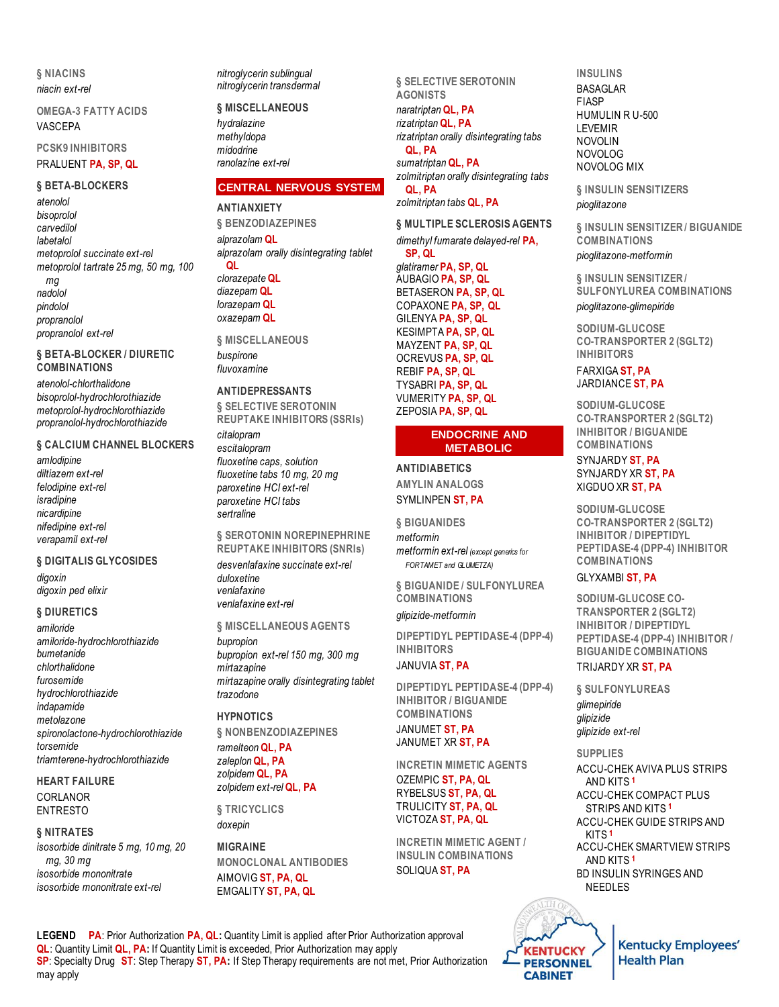**§ NIACINS** *niacin ext-rel*

**OMEGA-3 FATTY ACIDS** VASCEPA

**PCSK9 INHIBITORS** PRALUENT **PA, SP, QL**

#### **§ BETA-BLOCKERS**

*atenolol bisoprolol carvedilol labetalol metoprolol succinate ext-rel metoprolol tartrate 25 mg, 50 mg, 100 mg nadolol pindolol propranolol propranolol ext-rel*

**§ BETA-BLOCKER / DIURETIC COMBINATIONS**

*atenolol-chlorthalidone bisoprolol-hydrochlorothiazide metoprolol-hydrochlorothiazide propranolol-hydrochlorothiazide*

#### **§ CALCIUM CHANNEL BLOCKERS**

*amlodipine diltiazem ext-rel felodipine ext-rel isradipine nicardipine nifedipine ext-rel verapamil ext-rel*

#### **§ DIGITALIS GLYCOSIDES**

*digoxin digoxin ped elixir*

#### **§ DIURETICS**

*amiloride amiloride-hydrochlorothiazide bumetanide chlorthalidone furosemide hydrochlorothiazide indapamide metolazone spironolactone-hydrochlorothiazide torsemide triamterene-hydrochlorothiazide*

**HEART FAILURE** CORLANOR ENTRESTO

#### **§ NITRATES**

*isosorbide dinitrate 5 mg, 10 mg, 20 mg, 30 mg isosorbide mononitrate isosorbide mononitrate ext-rel*

*nitroglycerin sublingual nitroglycerin transdermal*

**§ MISCELLANEOUS** *hydralazine methyldopa midodrine ranolazine ext-rel*

### **CENTRAL NERVOUS SYSTEM**

**ANTIANXIETY § BENZODIAZEPINES** *alprazolam* **QL** *alprazolam orally disintegrating tablet* **QL** *clorazepate* **QL** *diazepam* **QL** *lorazepam* **QL** *oxazepam* **QL**

**§ MISCELLANEOUS** *buspirone fluvoxamine*

#### **ANTIDEPRESSANTS**

**§ SELECTIVE SEROTONIN REUPTAKE INHIBITORS (SSRIs)** *citalopram*

*escitalopram fluoxetine caps, solution fluoxetine tabs 10 mg, 20 mg paroxetine HCl ext-rel paroxetine HCl tabs sertraline*

**§ SEROTONIN NOREPINEPHRINE REUPTAKE INHIBITORS (SNRIs)**

*desvenlafaxine succinate ext-rel duloxetine venlafaxine venlafaxine ext-rel*

#### **§ MISCELLANEOUS AGENTS**

*bupropion bupropion ext-rel 150 mg, 300 mg mirtazapine mirtazapine orally disintegrating tablet trazodone*

#### **HYPNOTICS**

**§ NONBENZODIAZEPINES** *ramelteon* **QL, PA**

*zaleplon* **QL, PA** *zolpidem* **QL, PA** *zolpidem ext-rel* **QL, PA**

**§ TRICYCLICS** *doxepin*

**MIGRAINE MONOCLONAL ANTIBODIES** AIMOVIG **ST, PA, QL** EMGALITY **ST, PA, QL**

**§ SELECTIVE SEROTONIN AGONISTS** *naratriptan* **QL, PA** *rizatriptan* **QL, PA** *rizatriptan orally disintegrating tabs* **QL, PA** *sumatriptan* **QL, PA** *zolmitriptan orally disintegrating tabs* **QL, PA**

*zolmitriptan tabs* **QL, PA**

**§ MULTIPLE SCLEROSIS AGENTS** *dimethyl fumarate delayed-rel* **PA, SP, QL** *glatiramer* **PA, SP, QL** AUBAGIO **PA, SP, QL** BETASERON **PA, SP, QL** COPAXONE **PA, SP, QL** GILENYA **PA, SP, QL** KESIMPTA **PA, SP, QL** MAYZENT **PA, SP, QL** OCREVUS **PA, SP, QL** REBIF **PA, SP, QL** TYSABRI **PA, SP, QL** VUMERITY **PA, SP, QL** ZEPOSIA **PA, SP, QL**

#### **ENDOCRINE AND METABOLIC**

#### **ANTIDIABETICS AMYLIN ANALOGS** SYMLINPEN **ST, PA**

**§ BIGUANIDES** *metformin metformin ext-rel (except generics for FORTAMET and GLUMETZA)*

**§ BIGUANIDE / SULFONYLUREA COMBINATIONS** *glipizide-metformin*

**DIPEPTIDYL PEPTIDASE-4 (DPP-4) INHIBITORS**

#### JANUVIA **ST, PA**

**DIPEPTIDYL PEPTIDASE-4 (DPP-4) INHIBITOR / BIGUANIDE COMBINATIONS**

JANUMET **ST, PA** JANUMET XR **ST, PA**

**INCRETIN MIMETIC AGENTS** OZEMPIC **ST, PA, QL** RYBELSUS **ST, PA, QL** TRULICITY **ST, PA, QL** VICTOZA **ST, PA, QL**

**INCRETIN MIMETIC AGENT / INSULIN COMBINATIONS** SOLIQUA **ST, PA**

> **KENTUCKY PERSONNEL CABINET**

**INSULINS BASAGLAR** FIASP HUMULIN R U-500 LEVEMIR NOVOLIN NOVOLOG NOVOLOG MIX

**§ INSULIN SENSITIZERS** *pioglitazone*

**§ INSULIN SENSITIZER / BIGUANIDE COMBINATIONS** *pioglitazone-metformin*

**§ INSULIN SENSITIZER / SULFONYLUREA COMBINATIONS** *pioglitazone-glimepiride*

**SODIUM-GLUCOSE CO-TRANSPORTER 2 (SGLT2) INHIBITORS**

FARXIGA **ST, PA** JARDIANCE **ST, PA**

**SODIUM-GLUCOSE CO-TRANSPORTER 2 (SGLT2) INHIBITOR / BIGUANIDE COMBINATIONS** SYNJARDY **ST, PA** SYNJARDY XR **ST, PA** XIGDUO XR **ST, PA**

**SODIUM-GLUCOSE CO-TRANSPORTER 2 (SGLT2) INHIBITOR / DIPEPTIDYL PEPTIDASE-4 (DPP-4) INHIBITOR COMBINATIONS**

#### GLYXAMBI **ST, PA**

**SODIUM-GLUCOSE CO-TRANSPORTER 2 (SGLT2) INHIBITOR / DIPEPTIDYL PEPTIDASE-4 (DPP-4) INHIBITOR / BIGUANIDE COMBINATIONS**

#### TRIJARDY XR **ST, PA**

**§ SULFONYLUREAS**

*glimepiride glipizide glipizide ext-rel*

**SUPPLIES** ACCU-CHEK AVIVA PLUS STRIPS AND KITS **<sup>1</sup>** ACCU-CHEK COMPACT PLUS STRIPS AND KITS **<sup>1</sup>** ACCU-CHEK GUIDE STRIPS AND KITS **<sup>1</sup>** ACCU-CHEK SMARTVIEW STRIPS AND KITS **<sup>1</sup>** BD INSULIN SYRINGES AND NEEDLES

> **Kentucky Employees' Health Plan**

**LEGEND PA**: Prior Authorization **PA, QL:** Quantity Limit is applied after Prior Authorization approval **QL**: Quantity Limit **QL, PA:** If Quantity Limit is exceeded, Prior Authorization may apply **SP**: Specialty Drug **ST**: Step Therapy **ST, PA:** If Step Therapy requirements are not met, Prior Authorization may apply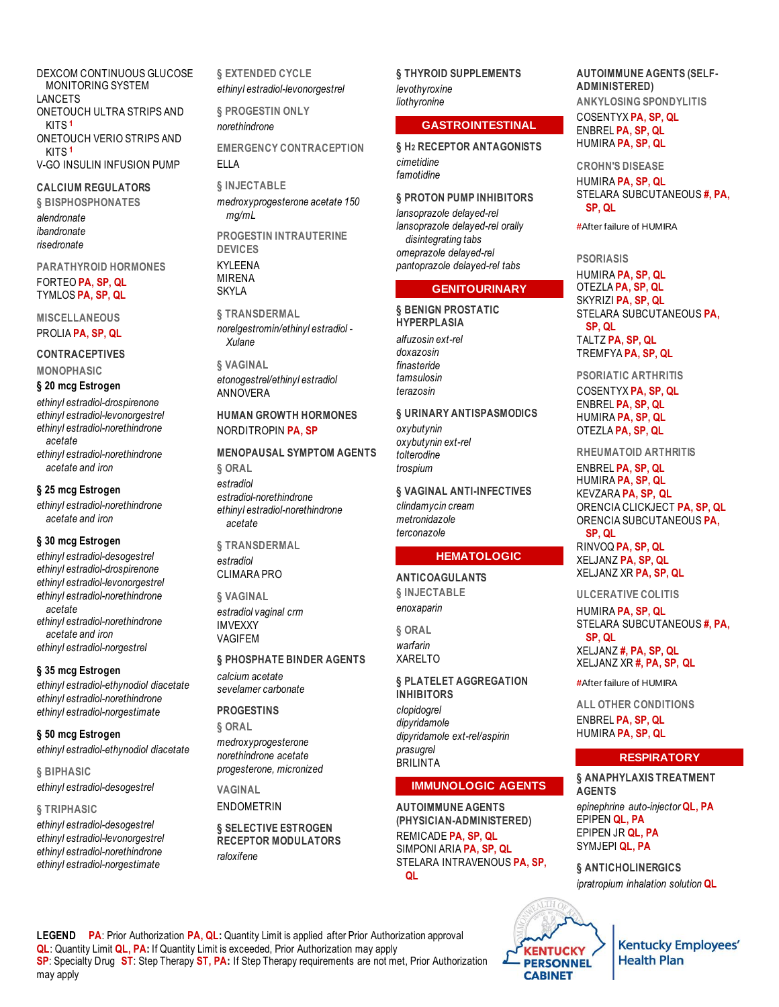DEXCOM CONTINUOUS GLUCOSE MONITORING SYSTEM LANCETS ONETOUCH ULTRA STRIPS AND KITS **<sup>1</sup>** ONETOUCH VERIO STRIPS AND KITS **<sup>1</sup>** V-GO INSULIN INFUSION PUMP

**CALCIUM REGULATORS § BISPHOSPHONATES**

*alendronate ibandronate risedronate*

**PARATHYROID HORMONES** FORTEO **PA, SP, QL** TYMLOS **PA, SP, QL**

**MISCELLANEOUS** PROLIA **PA, SP, QL**

**CONTRACEPTIVES**

**MONOPHASIC**

### **§ 20 mcg Estrogen**

*ethinyl estradiol-drospirenone ethinyl estradiol-levonorgestrel ethinyl estradiol-norethindrone acetate*

*ethinyl estradiol-norethindrone acetate and iron*

#### **§ 25 mcg Estrogen**

*ethinyl estradiol-norethindrone acetate and iron*

#### **§ 30 mcg Estrogen**

*ethinyl estradiol-desogestrel ethinyl estradiol-drospirenone ethinyl estradiol-levonorgestrel ethinyl estradiol-norethindrone acetate ethinyl estradiol-norethindrone acetate and iron ethinyl estradiol-norgestrel*

#### **§ 35 mcg Estrogen**

*ethinyl estradiol-ethynodiol diacetate ethinyl estradiol-norethindrone ethinyl estradiol-norgestimate*

**§ 50 mcg Estrogen** *ethinyl estradiol-ethynodiol diacetate*

**§ BIPHASIC**

*ethinyl estradiol-desogestrel*

#### **§ TRIPHASIC**

*ethinyl estradiol-desogestrel ethinyl estradiol-levonorgestrel ethinyl estradiol-norethindrone ethinyl estradiol-norgestimate*

**§ EXTENDED CYCLE** *ethinyl estradiol-levonorgestrel*

**§ PROGESTIN ONLY** *norethindrone* **EMERGENCY CONTRACEPTION**

## ELLA

**§ INJECTABLE** *medroxyprogesterone acetate 150 mg/mL* **PROGESTIN INTRAUTERINE DEVICES** KYLEENA MIRENA SKYLA

**§ TRANSDERMAL** *norelgestromin/ethinyl estradiol - Xulane*

**§ VAGINAL** *etonogestrel/ethinyl estradiol* ANNOVERA

#### **HUMAN GROWTH HORMONES** NORDITROPIN **PA, SP**

**MENOPAUSAL SYMPTOM AGENTS § ORAL** *estradiol estradiol-norethindrone ethinyl estradiol-norethindrone acetate*

**§ TRANSDERMAL** *estradiol* CLIMARA PRO

**§ VAGINAL** *estradiol vaginal crm* IMVEXXY VAGIFEM

#### **§ PHOSPHATE BINDER AGENTS**

*calcium acetate sevelamer carbonate*

**PROGESTINS**

**§ ORAL** *medroxyprogesterone norethindrone acetate progesterone, micronized*

**VAGINAL** ENDOMETRIN

**§ SELECTIVE ESTROGEN RECEPTOR MODULATORS** *raloxifene*

**§ THYROID SUPPLEMENTS** *levothyroxine liothyronine*

#### **GASTROINTESTINAL**

**§ H2 RECEPTOR ANTAGONISTS** *cimetidine famotidine*

**§ PROTON PUMP INHIBITORS**

*lansoprazole delayed-rel lansoprazole delayed-rel orally disintegrating tabs omeprazole delayed-rel pantoprazole delayed-rel tabs*

#### **GENITOURINARY**

**§ BENIGN PROSTATIC HYPERPLASIA** *alfuzosin ext-rel doxazosin finasteride tamsulosin terazosin*

#### **§ URINARY ANTISPASMODICS**

*oxybutynin oxybutynin ext-rel tolterodine trospium*

#### **§ VAGINAL ANTI-INFECTIVES**

*clindamycin cream metronidazole terconazole*

#### **HEMATOLOGIC**

#### **ANTICOAGULANTS**

**§ INJECTABLE** *enoxaparin*

**§ ORAL** *warfarin* XARELTO

**§ PLATELET AGGREGATION INHIBITORS** *clopidogrel dipyridamole dipyridamole ext-rel/aspirin prasugrel* **BRILINTA** 

#### **IMMUNOLOGIC AGENTS**

**AUTOIMMUNE AGENTS (PHYSICIAN-ADMINISTERED)** REMICADE **PA, SP, QL** SIMPONI ARIA **PA, SP, QL** STELARA INTRAVENOUS **PA, SP, QL**

**AUTOIMMUNE AGENTS (SELF-ADMINISTERED) ANKYLOSING SPONDYLITIS** COSENTYX **PA, SP, QL** ENBREL **PA, SP, QL** HUMIRA **PA, SP, QL**

**CROHN'S DISEASE** HUMIRA **PA, SP, QL** STELARA SUBCUTANEOUS **#, PA, SP, QL**

**#**After failure of HUMIRA

#### **PSORIASIS**

HUMIRA **PA, SP, QL** OTEZLA **PA, SP, QL** SKYRIZI **PA, SP, QL** STELARA SUBCUTANEOUS **PA, SP, QL** TALTZ **PA, SP, QL** TREMFYA **PA, SP, QL**

**PSORIATIC ARTHRITIS** COSENTYX **PA, SP, QL** ENBREL **PA, SP, QL** HUMIRA **PA, SP, QL** OTEZLA **PA, SP, QL**

**RHEUMATOID ARTHRITIS**

ENBREL **PA, SP, QL** HUMIRA **PA, SP, QL** KEVZARA **PA, SP, QL** ORENCIA CLICKJECT **PA, SP, QL** ORENCIA SUBCUTANEOUS **PA, SP, QL** RINVOQ **PA, SP, QL** XELJANZ **PA, SP, QL** XELJANZ XR **PA, SP, QL**

#### **ULCERATIVE COLITIS**

HUMIRA **PA, SP, QL** STELARA SUBCUTANEOUS **#, PA, SP, QL** XELJANZ **#, PA, SP, QL** XELJANZ XR **#, PA, SP, QL**

**#**After failure of HUMIRA

**ALL OTHER CONDITIONS** ENBREL **PA, SP, QL** HUMIRA **PA, SP, QL**

#### **RESPIRATORY**

**§ ANAPHYLAXIS TREATMENT AGENTS** *epinephrine auto-injector* **QL, PA** EPIPEN **QL, PA** EPIPEN JR **QL, PA** SYMJEPI **QL, PA**

**§ ANTICHOLINERGICS** *ipratropium inhalation solution* **QL**



**LEGEND PA**: Prior Authorization **PA, QL:** Quantity Limit is applied after Prior Authorization approval **QL**: Quantity Limit **QL, PA:** If Quantity Limit is exceeded, Prior Authorization may apply **SP**: Specialty Drug **ST**: Step Therapy **ST, PA:** If Step Therapy requirements are not met, Prior Authorization may apply

**KENTUCKY**